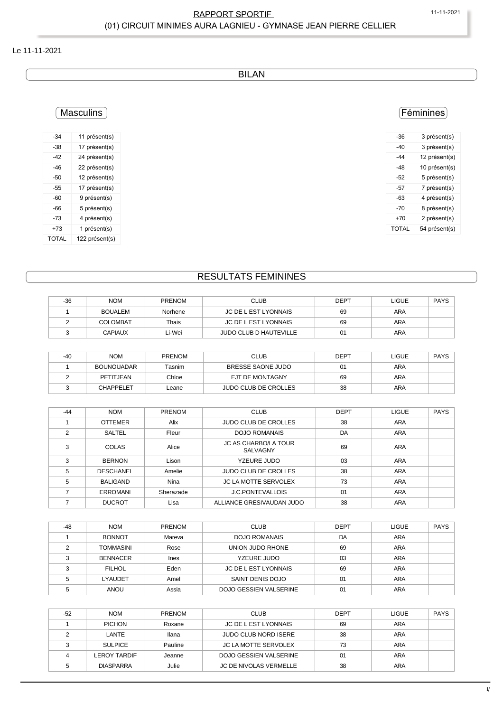#### RAPPORT SPORTIF 11-11-2021 (01) CIRCUIT MINIMES AURA LAGNIEU - GYMNASE JEAN PIERRE CELLIER

#### Le 11-11-2021

BILAN

## **Masculins**

| -34   | 11 présent(s)  |
|-------|----------------|
| -38   | 17 présent(s)  |
| -42   | 24 présent(s)  |
| -46   | 22 présent(s)  |
| -50   | 12 présent(s)  |
| -55   | 17 présent(s)  |
| -60   | 9 présent(s)   |
| -66   | 5 présent(s)   |
| -73   | 4 présent(s)   |
| +73   | 1 présent(s)   |
| TOTAL | 122 présent(s) |

### Féminines

| -36   | 3 présent(s)  |
|-------|---------------|
| -40   | 3 présent(s)  |
| -44   | 12 présent(s) |
| -48   | 10 présent(s) |
| -52   | 5 présent(s)  |
| -57   | 7 présent(s)  |
| -63   | 4 présent(s)  |
| -70   | 8 présent(s)  |
| +70   | 2 présent(s)  |
| TOTAL | 54 présent(s) |
|       |               |

## RESULTATS FEMININES

| $-36$ | <b>NOM</b>      | <b>PRENOM</b> | CLUB                          | <b>DEPT</b> | LIGUE      | <b>PAYS</b> |
|-------|-----------------|---------------|-------------------------------|-------------|------------|-------------|
|       | <b>BOUALEM</b>  | Norhene       | JC DE L EST LYONNAIS          | 69          | ARA        |             |
|       | <b>COLOMBAT</b> | Thais         | JC DE L EST LYONNAIS          | 69          | <b>ARA</b> |             |
|       | <b>CAPIAUX</b>  | ∟i-Wei        | <b>JUDO CLUB D HAUTEVILLE</b> | 01          | ARA        |             |

| $-40$ | <b>NOM</b>        | <b>PRENOM</b> | <b>CLUB</b>                 | <b>DEPT</b> | LIGUE | <b>PAYS</b> |
|-------|-------------------|---------------|-----------------------------|-------------|-------|-------------|
|       | <b>BOUNOUADAR</b> | Tasnim        | BRESSE SAONE JUDO           | 01          | ARA   |             |
|       | PETITJEAN         | Chloe         | EJT DE MONTAGNY             | 69          | ARA   |             |
|       | <b>CHAPPELET</b>  | Leane         | <b>JUDO CLUB DE CROLLES</b> | 38          | ARA   |             |

| $-44$ | <b>NOM</b>       | PRENOM    | <b>CLUB</b>                             | <b>DEPT</b> | <b>LIGUE</b> | <b>PAYS</b> |
|-------|------------------|-----------|-----------------------------------------|-------------|--------------|-------------|
|       | <b>OTTEMER</b>   | Alix      | <b>JUDO CLUB DE CROLLES</b>             | 38          | <b>ARA</b>   |             |
| 2     | SALTEL           | Fleur     | <b>DOJO ROMANAIS</b>                    | DA          | ARA          |             |
| 3     | COLAS            | Alice     | <b>JC AS CHARBO/LA TOUR</b><br>SALVAGNY | 69          | ARA          |             |
| 3     | <b>BERNON</b>    | Lison     | YZEURE JUDO                             | 03          | <b>ARA</b>   |             |
| 5     | <b>DESCHANEL</b> | Amelie    | <b>JUDO CLUB DE CROLLES</b>             | 38          | <b>ARA</b>   |             |
| 5     | <b>BALIGAND</b>  | Nina      | <b>JC LA MOTTE SERVOLEX</b>             | 73          | <b>ARA</b>   |             |
|       | <b>ERROMANI</b>  | Sherazade | <b>J.C.PONTEVALLOIS</b>                 | 01          | <b>ARA</b>   |             |
|       | <b>DUCROT</b>    | Lisa      | ALLIANCE GRESIVAUDAN JUDO               | 38          | <b>ARA</b>   |             |

| $-48$  | <b>NOM</b>      | <b>PRENOM</b> | <b>CLUB</b>            | <b>DEPT</b> | <b>LIGUE</b> | <b>PAYS</b> |
|--------|-----------------|---------------|------------------------|-------------|--------------|-------------|
|        | <b>BONNOT</b>   | Mareva        | DOJO ROMANAIS          | DA          | <b>ARA</b>   |             |
|        | TOMMASINI       | Rose          | UNION JUDO RHONE       | 69          | ARA          |             |
|        | <b>BENNACER</b> | <b>Ines</b>   | YZEURE JUDO            | 03          | <b>ARA</b>   |             |
| $\sim$ | <b>FILHOL</b>   | Eden          | JC DE L EST LYONNAIS   | 69          | ARA          |             |
|        | <b>LYAUDET</b>  | Amel          | SAINT DENIS DOJO       | 01          | ARA          |             |
|        | ANOU            | Assia         | DOJO GESSIEN VALSERINE | 01          | <b>ARA</b>   |             |

| $-52$ | <b>NOM</b>       | <b>PRENOM</b> | <b>CLUB</b>                 | <b>DEPT</b> | <b>LIGUE</b> | <b>PAYS</b> |
|-------|------------------|---------------|-----------------------------|-------------|--------------|-------------|
|       | <b>PICHON</b>    | Roxane        | JC DE L EST LYONNAIS        | 69          | ARA          |             |
|       | LANTE            | llana         | JUDO CLUB NORD ISERE        | 38          | ARA          |             |
|       | <b>SULPICE</b>   | Pauline       | <b>JC LA MOTTE SERVOLEX</b> | 73          | ARA          |             |
|       | LEROY TARDIF     | Jeanne        | DOJO GESSIEN VALSERINE      | 01          | <b>ARA</b>   |             |
|       | <b>DIASPARRA</b> | Julie         | JC DE NIVOLAS VERMELLE      | 38          | <b>ARA</b>   |             |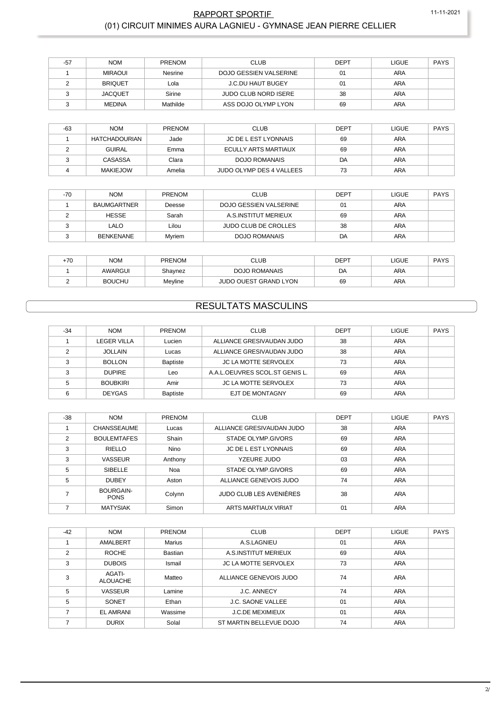### **RAPPORT SPORTIF** (01) CIRCUIT MINIMES AURA LAGNIEU - GYMNASE JEAN PIERRE CELLIER

11-11-2021

| $-57$ | <b>NOM</b>     | <b>PRENOM</b> | <b>CLUB</b>                 | <b>DEPT</b> | <b>LIGUE</b> | <b>PAYS</b> |
|-------|----------------|---------------|-----------------------------|-------------|--------------|-------------|
|       | <b>MIRAOUI</b> | Nesrine       | DOJO GESSIEN VALSERINE      | 01          | <b>ARA</b>   |             |
|       | <b>BRIQUET</b> | Lola          | J.C.DU HAUT BUGEY           | 01          | ARA          |             |
|       | <b>JACQUET</b> | Sirine        | <b>JUDO CLUB NORD ISERE</b> | 38          | ARA          |             |
|       | <b>MEDINA</b>  | Mathilde      | ASS DOJO OLYMP LYON         | 69          | ARA          |             |

| -63 | <b>NOM</b>      | <b>PRENOM</b> | <b>CLUB</b>              | DEPT | <b>LIGUE</b> | PAYS |
|-----|-----------------|---------------|--------------------------|------|--------------|------|
|     | HATCHADOURIAN   | Jade          | JC DE L EST LYONNAIS     | 69   | ARA          |      |
|     | <b>GUIRAL</b>   | Emma          | ECULLY ARTS MARTIAUX     | 69   | <b>ARA</b>   |      |
|     | CASASSA         | Clara         | <b>DOJO ROMANAIS</b>     | DA   | ARA          |      |
|     | <b>MAKIEJOW</b> | Amelia        | JUDO OLYMP DES 4 VALLEES | 73   | ARA          |      |

| $-70$ | <b>NOM</b>         | PRENOM | <b>CLUB</b>                 | DEPT | <b>LIGUE</b> | PAYS |
|-------|--------------------|--------|-----------------------------|------|--------------|------|
|       | <b>BAUMGARTNER</b> | Deesse | DOJO GESSIEN VALSERINE      | 01   | <b>ARA</b>   |      |
|       | <b>HESSE</b>       | Sarah  | A.S.INSTITUT MERIEUX        | 69   | ARA          |      |
|       | LALO               | Lilou  | <b>JUDO CLUB DE CROLLES</b> | 38   | ARA          |      |
|       | <b>BENKENANE</b>   | Mvriem | DOJO ROMANAIS               | DA   | ARA          |      |

| +70 | Nom           | <b>PRENOM</b> | CLUB                         | <b>DEPT</b> | LIGUE | <b>PAYS</b> |
|-----|---------------|---------------|------------------------------|-------------|-------|-------------|
|     | AWARGUI       | Shaynez       | DOJO ROMANAIS                | DA          | ARA   |             |
|     | <b>BOUCHU</b> | Mevline       | <b>JUDO OUEST GRAND LYON</b> | 69          | ARA   |             |

# **RESULTATS MASCULINS**

| $-34$ | <b>NOM</b>      | <b>PRENOM</b>   | <b>CLUB</b>                    | <b>DEPT</b> | LIGUE      | PAYS |
|-------|-----------------|-----------------|--------------------------------|-------------|------------|------|
|       | LEGER VILLA     | Lucien          | ALLIANCE GRESIVAUDAN JUDO      | 38          | ARA        |      |
|       | <b>JOLLAIN</b>  | Lucas           | ALLIANCE GRESIVAUDAN JUDO      | 38          | ARA        |      |
| ◠     | <b>BOLLON</b>   | <b>Baptiste</b> | <b>JC LA MOTTE SERVOLEX</b>    | 73          | ARA        |      |
| 3     | <b>DUPIRE</b>   | Leo             | A.A.L.OEUVRES SCOL.ST GENIS L. | 69          | ARA        |      |
|       | <b>BOUBKIRI</b> | Amir            | <b>JC LA MOTTE SERVOLEX</b>    | 73          | <b>ARA</b> |      |
| 6     | <b>DEYGAS</b>   | <b>Baptiste</b> | EJT DE MONTAGNY                | 69          | <b>ARA</b> |      |

| $-38$ | <b>NOM</b>                      | <b>PRENOM</b> | <b>CLUB</b>                 | <b>DEPT</b> | <b>LIGUE</b> | <b>PAYS</b> |
|-------|---------------------------------|---------------|-----------------------------|-------------|--------------|-------------|
|       | <b>CHANSSEAUME</b>              | Lucas         | ALLIANCE GRESIVAUDAN JUDO   | 38          | <b>ARA</b>   |             |
| 2     | <b>BOULEMTAFES</b>              | Shain         | STADE OLYMP.GIVORS          | 69          | <b>ARA</b>   |             |
| 3     | RIELLO                          | <b>Nino</b>   | <b>JC DE L EST LYONNAIS</b> | 69          | ARA          |             |
| 3     | <b>VASSEUR</b>                  | Anthony       | YZEURE JUDO                 | 03          | <b>ARA</b>   |             |
| 5     | SIBELLE                         | Noa           | STADE OLYMP GIVORS          | 69          | ARA          |             |
| 5     | <b>DUBEY</b>                    | Aston         | ALLIANCE GENEVOIS JUDO      | 74          | ARA          |             |
|       | <b>BOURGAIN-</b><br><b>PONS</b> | Colynn        | JUDO CLUB LES AVENIÈRES     | 38          | <b>ARA</b>   |             |
|       | <b>MATYSIAK</b>                 | Simon         | ARTS MARTIAUX VIRIAT        | 01          | <b>ARA</b>   |             |

| $-42$          | <b>NOM</b>                | PRENOM        | <b>CLUB</b>                 | <b>DEPT</b> | LIGUE      | <b>PAYS</b> |
|----------------|---------------------------|---------------|-----------------------------|-------------|------------|-------------|
|                | AMALBERT                  | <b>Marius</b> | A.S.LAGNIEU                 | 01          | <b>ARA</b> |             |
| $\mathfrak{p}$ | <b>ROCHE</b>              | Bastian       | A.S. INSTITUT MERIEUX       | 69          | <b>ARA</b> |             |
| 3              | <b>DUBOIS</b>             | Ismail        | <b>JC LA MOTTE SERVOLEX</b> | 73          | <b>ARA</b> |             |
| 3              | AGATI-<br><b>ALOUACHE</b> | Matteo        | ALLIANCE GENEVOIS JUDO      | 74          | <b>ARA</b> |             |
| 5              | <b>VASSEUR</b>            | Lamine        | <b>J.C. ANNECY</b>          | 74          | <b>ARA</b> |             |
| 5              | SONET                     | Ethan         | <b>J.C. SAONE VALLEE</b>    | 01          | <b>ARA</b> |             |
|                | <b>EL AMRANI</b>          | Wassime       | <b>J.C.DE MEXIMIEUX</b>     | 01          | <b>ARA</b> |             |
|                | <b>DURIX</b>              | Solal         | ST MARTIN BELLEVUE DOJO     | 74          | <b>ARA</b> |             |